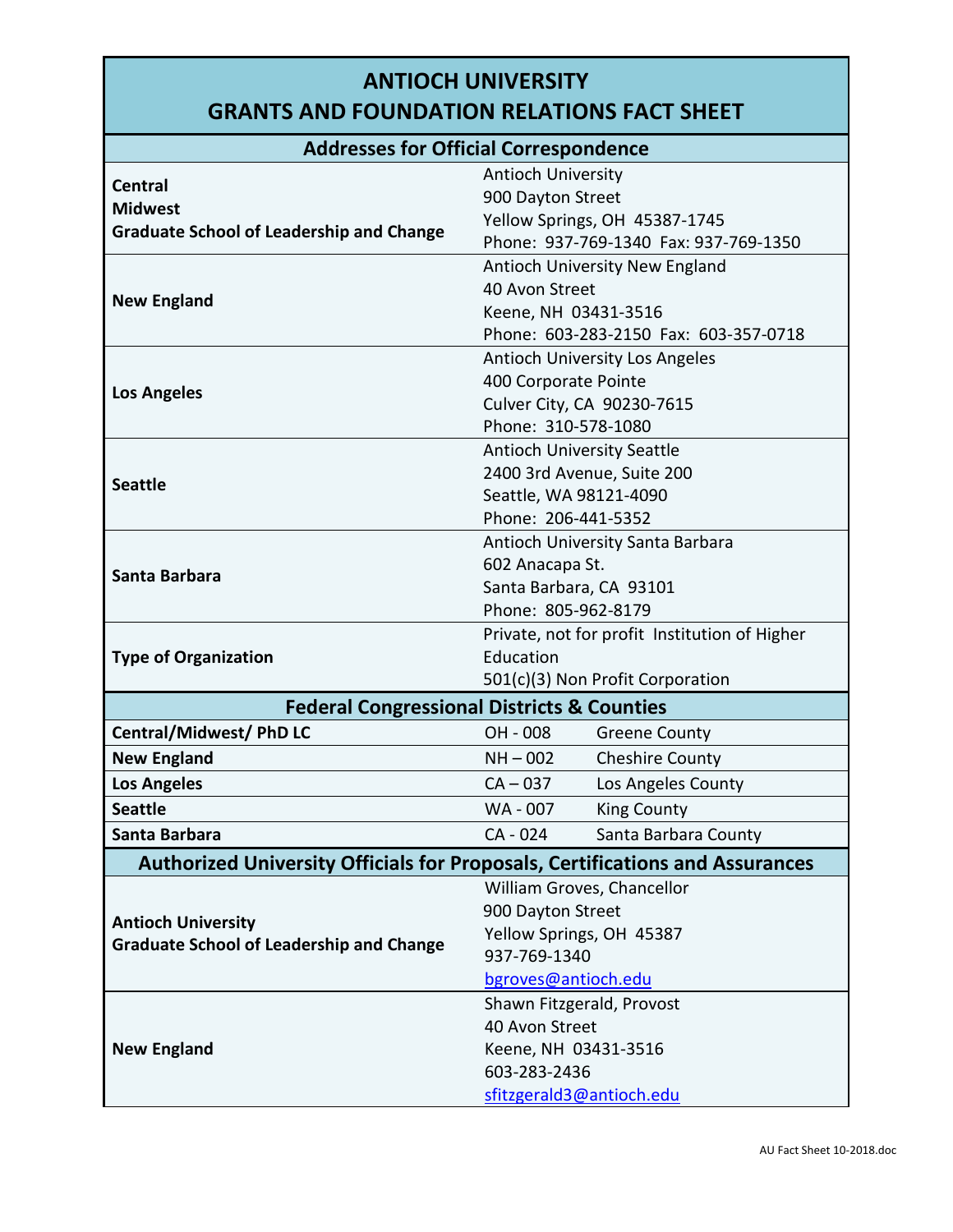## **ANTIOCH UNIVERSITY**

## **GRANTS AND FOUNDATION RELATIONS FACT SHEET**

| <b>Addresses for Official Correspondence</b>                                        |                                                 |                                               |  |
|-------------------------------------------------------------------------------------|-------------------------------------------------|-----------------------------------------------|--|
| <b>Central</b>                                                                      | <b>Antioch University</b>                       |                                               |  |
| <b>Midwest</b>                                                                      | 900 Dayton Street                               |                                               |  |
| <b>Graduate School of Leadership and Change</b>                                     | Yellow Springs, OH 45387-1745                   |                                               |  |
|                                                                                     | Phone: 937-769-1340 Fax: 937-769-1350           |                                               |  |
|                                                                                     |                                                 | <b>Antioch University New England</b>         |  |
| <b>New England</b>                                                                  | 40 Avon Street                                  |                                               |  |
|                                                                                     | Keene, NH 03431-3516                            |                                               |  |
|                                                                                     | Phone: 603-283-2150 Fax: 603-357-0718           |                                               |  |
| <b>Los Angeles</b>                                                                  | <b>Antioch University Los Angeles</b>           |                                               |  |
|                                                                                     | 400 Corporate Pointe                            |                                               |  |
|                                                                                     | Culver City, CA 90230-7615                      |                                               |  |
|                                                                                     | Phone: 310-578-1080                             |                                               |  |
| <b>Seattle</b>                                                                      | <b>Antioch University Seattle</b>               |                                               |  |
|                                                                                     | 2400 3rd Avenue, Suite 200                      |                                               |  |
|                                                                                     | Seattle, WA 98121-4090                          |                                               |  |
|                                                                                     | Phone: 206-441-5352                             |                                               |  |
| Santa Barbara                                                                       | Antioch University Santa Barbara                |                                               |  |
|                                                                                     | 602 Anacapa St.                                 |                                               |  |
|                                                                                     | Santa Barbara, CA 93101                         |                                               |  |
|                                                                                     | Phone: 805-962-8179                             |                                               |  |
| <b>Type of Organization</b>                                                         |                                                 | Private, not for profit Institution of Higher |  |
|                                                                                     | Education                                       |                                               |  |
|                                                                                     |                                                 | 501(c)(3) Non Profit Corporation              |  |
| <b>Federal Congressional Districts &amp; Counties</b>                               |                                                 |                                               |  |
| <b>Central/Midwest/ PhD LC</b>                                                      | OH - 008                                        | <b>Greene County</b>                          |  |
| <b>New England</b>                                                                  | $NH - 002$                                      | <b>Cheshire County</b>                        |  |
| <b>Los Angeles</b>                                                                  | $CA - 037$                                      | Los Angeles County                            |  |
| <b>Seattle</b>                                                                      | WA-007                                          | <b>King County</b>                            |  |
| Santa Barbara                                                                       | CA - 024                                        | Santa Barbara County                          |  |
| <b>Authorized University Officials for Proposals, Certifications and Assurances</b> |                                                 |                                               |  |
|                                                                                     | William Groves, Chancellor<br>900 Dayton Street |                                               |  |
|                                                                                     |                                                 |                                               |  |
| <b>Antioch University</b>                                                           | Yellow Springs, OH 45387                        |                                               |  |
| <b>Graduate School of Leadership and Change</b>                                     | 937-769-1340                                    |                                               |  |
|                                                                                     | bgroves@antioch.edu                             |                                               |  |
| <b>New England</b>                                                                  | Shawn Fitzgerald, Provost                       |                                               |  |
|                                                                                     | 40 Avon Street                                  |                                               |  |
|                                                                                     | Keene, NH 03431-3516                            |                                               |  |
|                                                                                     | 603-283-2436                                    |                                               |  |
|                                                                                     | sfitzgerald3@antioch.edu                        |                                               |  |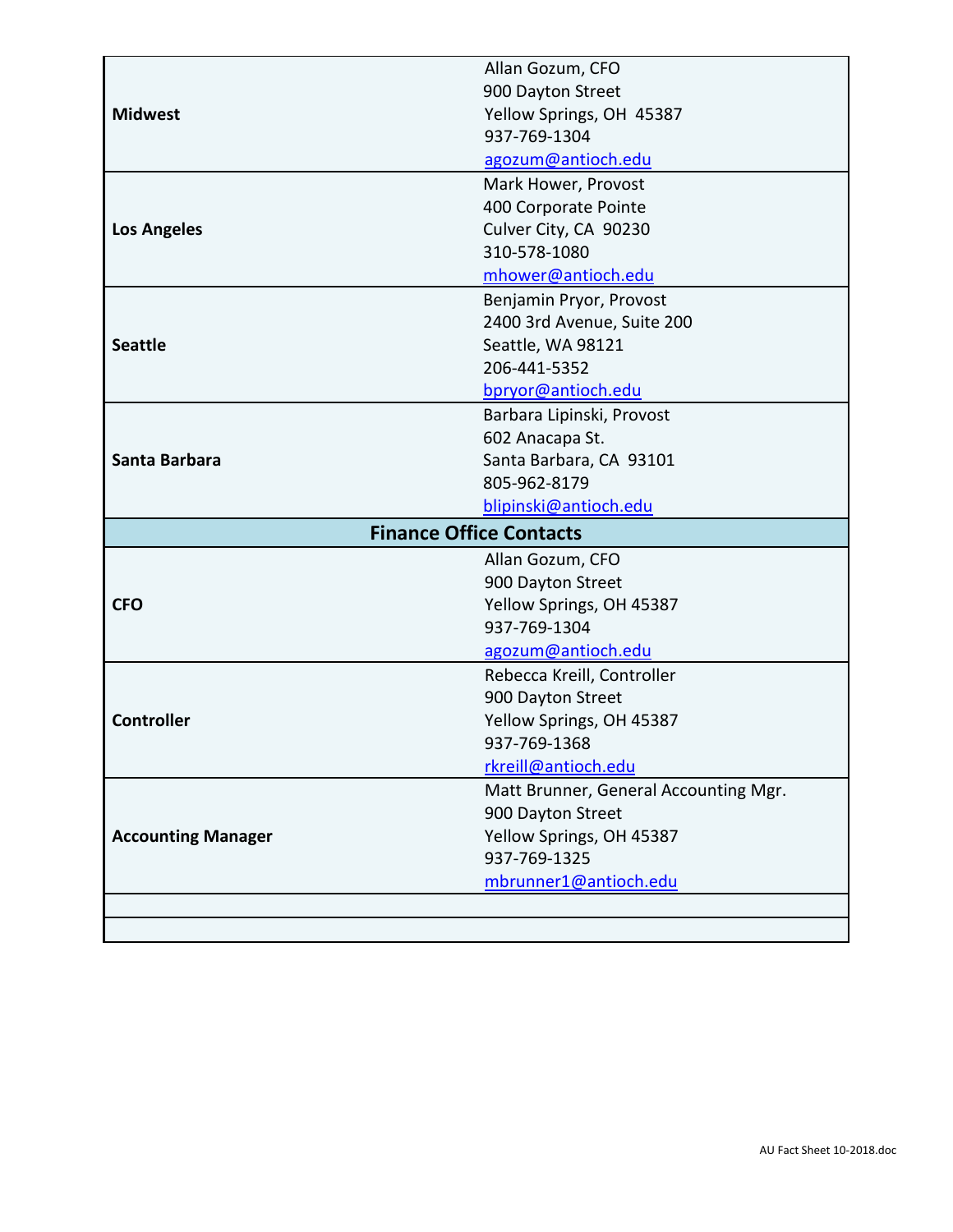|                                | Allan Gozum, CFO                      |  |
|--------------------------------|---------------------------------------|--|
|                                | 900 Dayton Street                     |  |
| <b>Midwest</b>                 | Yellow Springs, OH 45387              |  |
|                                | 937-769-1304                          |  |
|                                | agozum@antioch.edu                    |  |
| <b>Los Angeles</b>             | Mark Hower, Provost                   |  |
|                                | 400 Corporate Pointe                  |  |
|                                | Culver City, CA 90230                 |  |
|                                | 310-578-1080                          |  |
|                                | mhower@antioch.edu                    |  |
| <b>Seattle</b>                 | Benjamin Pryor, Provost               |  |
|                                | 2400 3rd Avenue, Suite 200            |  |
|                                | Seattle, WA 98121                     |  |
|                                | 206-441-5352                          |  |
|                                | bpryor@antioch.edu                    |  |
| Santa Barbara                  | Barbara Lipinski, Provost             |  |
|                                | 602 Anacapa St.                       |  |
|                                | Santa Barbara, CA 93101               |  |
|                                | 805-962-8179                          |  |
|                                | blipinski@antioch.edu                 |  |
| <b>Finance Office Contacts</b> |                                       |  |
|                                | Allan Gozum, CFO                      |  |
| <b>CFO</b>                     | 900 Dayton Street                     |  |
|                                | Yellow Springs, OH 45387              |  |
|                                | 937-769-1304                          |  |
|                                | agozum@antioch.edu                    |  |
|                                | Rebecca Kreill, Controller            |  |
|                                | 900 Dayton Street                     |  |
| <b>Controller</b>              | Yellow Springs, OH 45387              |  |
|                                | 937-769-1368                          |  |
|                                | rkreill@antioch.edu                   |  |
|                                | Matt Brunner, General Accounting Mgr. |  |
| <b>Accounting Manager</b>      | 900 Dayton Street                     |  |
|                                | Yellow Springs, OH 45387              |  |
|                                | 937-769-1325                          |  |
|                                | mbrunner1@antioch.edu                 |  |
|                                |                                       |  |
|                                |                                       |  |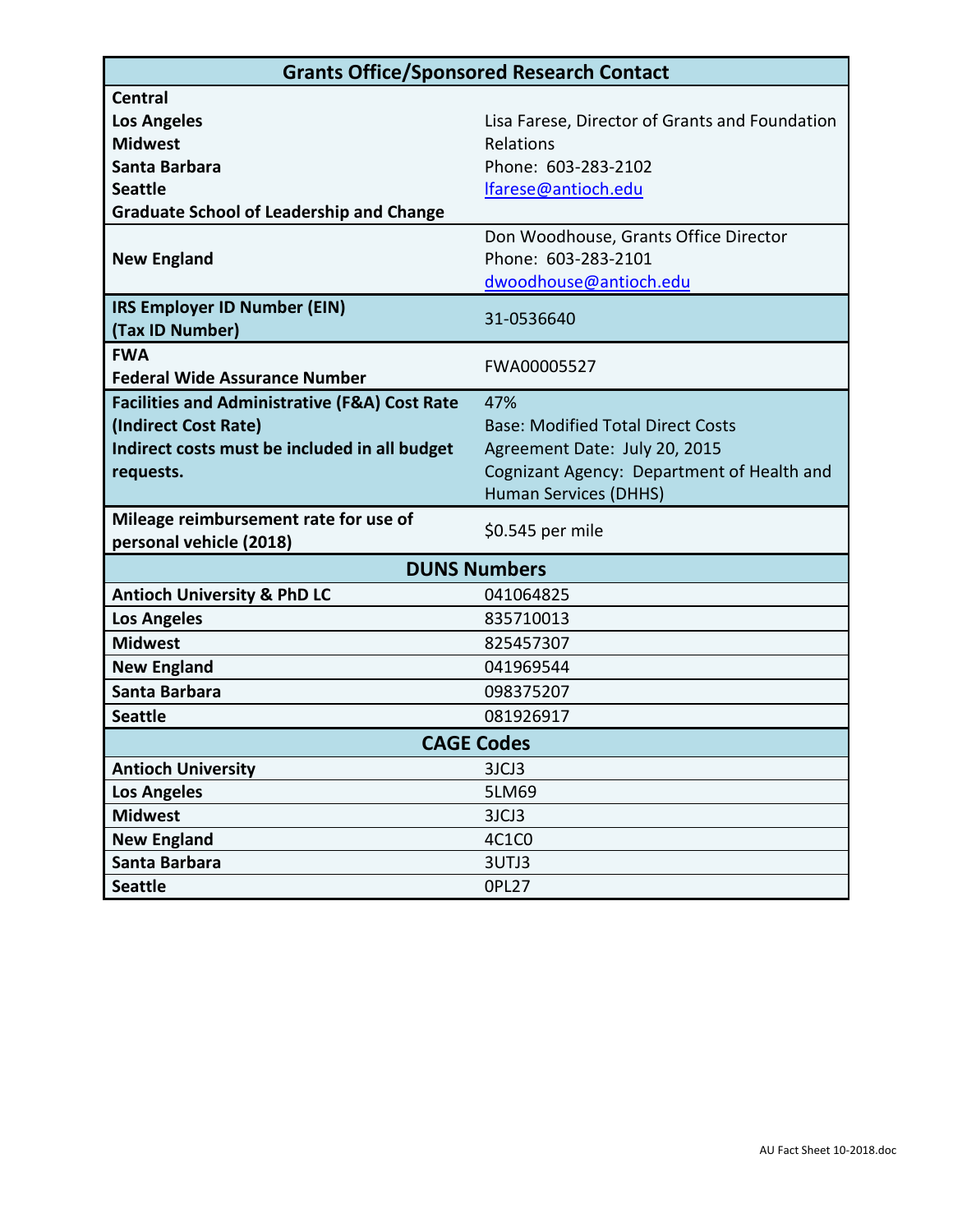| <b>Grants Office/Sponsored Research Contact</b>          |                                                |  |
|----------------------------------------------------------|------------------------------------------------|--|
| <b>Central</b>                                           |                                                |  |
| <b>Los Angeles</b>                                       | Lisa Farese, Director of Grants and Foundation |  |
| <b>Midwest</b>                                           | Relations                                      |  |
| Santa Barbara                                            | Phone: 603-283-2102                            |  |
| <b>Seattle</b>                                           | lfarese@antioch.edu                            |  |
| <b>Graduate School of Leadership and Change</b>          |                                                |  |
|                                                          | Don Woodhouse, Grants Office Director          |  |
| <b>New England</b>                                       | Phone: 603-283-2101                            |  |
|                                                          | dwoodhouse@antioch.edu                         |  |
| IRS Employer ID Number (EIN)                             | 31-0536640                                     |  |
| (Tax ID Number)                                          |                                                |  |
| <b>FWA</b>                                               | FWA00005527                                    |  |
| <b>Federal Wide Assurance Number</b>                     |                                                |  |
| <b>Facilities and Administrative (F&amp;A) Cost Rate</b> | 47%                                            |  |
| (Indirect Cost Rate)                                     | <b>Base: Modified Total Direct Costs</b>       |  |
| Indirect costs must be included in all budget            | Agreement Date: July 20, 2015                  |  |
| requests.                                                | Cognizant Agency: Department of Health and     |  |
|                                                          | Human Services (DHHS)                          |  |
| Mileage reimbursement rate for use of                    | \$0.545 per mile                               |  |
| personal vehicle (2018)                                  |                                                |  |
|                                                          | <b>DUNS Numbers</b>                            |  |
| <b>Antioch University &amp; PhD LC</b>                   | 041064825                                      |  |
| <b>Los Angeles</b>                                       | 835710013                                      |  |
| <b>Midwest</b>                                           | 825457307                                      |  |
| <b>New England</b>                                       | 041969544                                      |  |
| Santa Barbara                                            | 098375207                                      |  |
| <b>Seattle</b>                                           | 081926917                                      |  |
| <b>CAGE Codes</b>                                        |                                                |  |
| <b>Antioch University</b>                                | 3JCJ3                                          |  |
| <b>Los Angeles</b>                                       | 5LM69                                          |  |
| <b>Midwest</b>                                           | 3JCJ3                                          |  |
| <b>New England</b>                                       | 4C1C0                                          |  |
| Santa Barbara                                            | 3UTJ3                                          |  |
| <b>Seattle</b>                                           | <b>OPL27</b>                                   |  |